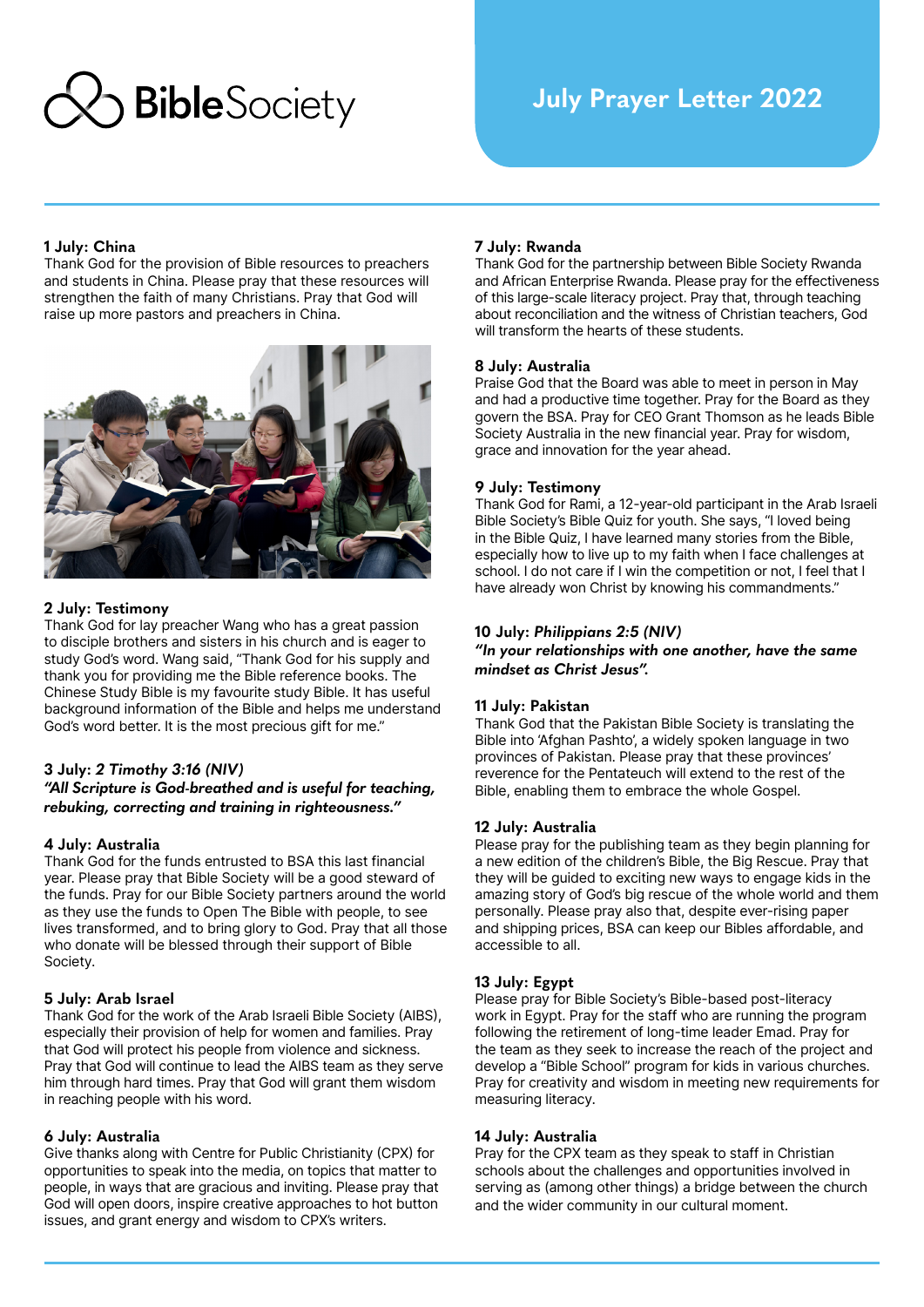

# **1 July: China**

Thank God for the provision of Bible resources to preachers and students in China. Please pray that these resources will strengthen the faith of many Christians. Pray that God will raise up more pastors and preachers in China.



## **2 July: Testimony**

Thank God for lay preacher Wang who has a great passion to disciple brothers and sisters in his church and is eager to study God's word. Wang said, "Thank God for his supply and thank you for providing me the Bible reference books. The Chinese Study Bible is my favourite study Bible. It has useful background information of the Bible and helps me understand God's word better. It is the most precious gift for me."

## **3 July:** *2 Timothy 3:16 (NIV)*

*"All Scripture is God-breathed and is useful for teaching, rebuking, correcting and training in righteousness."* 

### **4 July: Australia**

Thank God for the funds entrusted to BSA this last financial year. Please pray that Bible Society will be a good steward of the funds. Pray for our Bible Society partners around the world as they use the funds to Open The Bible with people, to see lives transformed, and to bring glory to God. Pray that all those who donate will be blessed through their support of Bible Society.

### **5 July: Arab Israel**

Thank God for the work of the Arab Israeli Bible Society (AIBS), especially their provision of help for women and families. Pray that God will protect his people from violence and sickness. Pray that God will continue to lead the AIBS team as they serve him through hard times. Pray that God will grant them wisdom in reaching people with his word.

### **6 July: Australia**

Give thanks along with Centre for Public Christianity (CPX) for opportunities to speak into the media, on topics that matter to people, in ways that are gracious and inviting. Please pray that God will open doors, inspire creative approaches to hot button issues, and grant energy and wisdom to CPX's writers.

## **7 July: Rwanda**

Thank God for the partnership between Bible Society Rwanda and African Enterprise Rwanda. Please pray for the effectiveness of this large-scale literacy project. Pray that, through teaching about reconciliation and the witness of Christian teachers, God will transform the hearts of these students.

### **8 July: Australia**

Praise God that the Board was able to meet in person in May and had a productive time together. Pray for the Board as they govern the BSA. Pray for CEO Grant Thomson as he leads Bible Society Australia in the new financial year. Pray for wisdom, grace and innovation for the year ahead.

### **9 July: Testimony**

Thank God for Rami, a 12-year-old participant in the Arab Israeli Bible Society's Bible Quiz for youth. She says, "I loved being in the Bible Quiz, I have learned many stories from the Bible, especially how to live up to my faith when I face challenges at school. I do not care if I win the competition or not, I feel that I have already won Christ by knowing his commandments."

## **10 July:** *Philippians 2:5 (NIV)*

*"In your relationships with one another, have the same mindset as Christ Jesus".*

### **11 July: Pakistan**

Thank God that the Pakistan Bible Society is translating the Bible into 'Afghan Pashto', a widely spoken language in two provinces of Pakistan. Please pray that these provinces' reverence for the Pentateuch will extend to the rest of the Bible, enabling them to embrace the whole Gospel.

### **12 July: Australia**

Please pray for the publishing team as they begin planning for a new edition of the children's Bible, the Big Rescue. Pray that they will be guided to exciting new ways to engage kids in the amazing story of God's big rescue of the whole world and them personally. Please pray also that, despite ever-rising paper and shipping prices, BSA can keep our Bibles affordable, and accessible to all.

## **13 July: Egypt**

Please pray for Bible Society's Bible-based post-literacy work in Egypt. Pray for the staff who are running the program following the retirement of long-time leader Emad. Pray for the team as they seek to increase the reach of the project and develop a "Bible School" program for kids in various churches. Pray for creativity and wisdom in meeting new requirements for measuring literacy.

### **14 July: Australia**

Pray for the CPX team as they speak to staff in Christian schools about the challenges and opportunities involved in serving as (among other things) a bridge between the church and the wider community in our cultural moment.